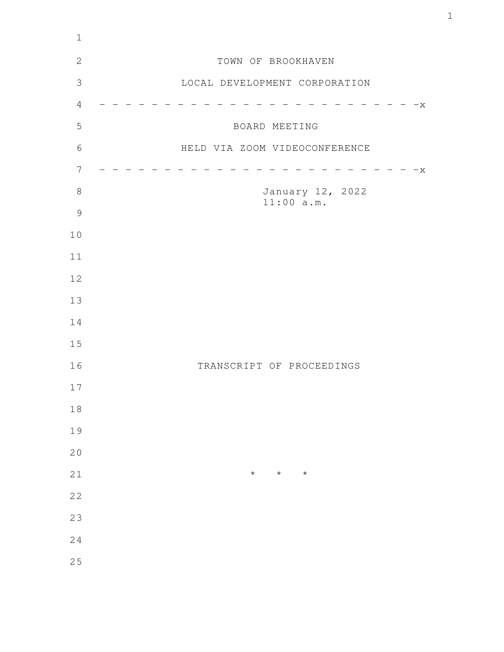| $1\,$          |                               |
|----------------|-------------------------------|
| $\mathbf{2}$   | TOWN OF BROOKHAVEN            |
| $\mathfrak{Z}$ | LOCAL DEVELOPMENT CORPORATION |
| $\sqrt{4}$     | $-x$                          |
| 5              | BOARD MEETING                 |
| $6\,$          | HELD VIA ZOOM VIDEOCONFERENCE |
| $\overline{7}$ | $-x$                          |
| $8\,$          | January 12, 2022              |
| $\mathcal{G}$  | 11:00 a.m.                    |
| 10             |                               |
| 11             |                               |
| 12             |                               |
| 13             |                               |
| 14             |                               |
| 15             |                               |
| 16             | TRANSCRIPT OF PROCEEDINGS     |
| 17             |                               |
| $1\,8$         |                               |
| 19             |                               |
| 20             |                               |
| 21             | $\star$<br>$\star$<br>$\star$ |
| 22             |                               |
| 23             |                               |
| 24             |                               |
| 25             |                               |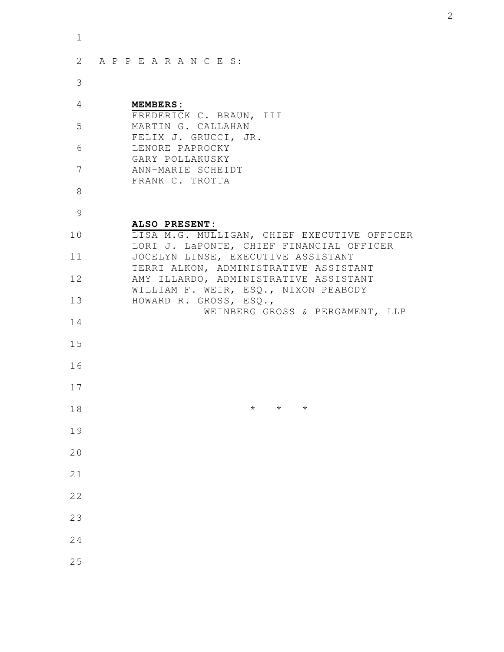| 1  |                                                                                         |
|----|-----------------------------------------------------------------------------------------|
| 2  | APPEARANCES:                                                                            |
| 3  |                                                                                         |
| 4  | <b>MEMBERS:</b><br>FREDERICK C. BRAUN, III                                              |
| 5  | MARTIN G. CALLAHAN<br>FELIX J. GRUCCI, JR.                                              |
| 6  | LENORE PAPROCKY<br>GARY POLLAKUSKY                                                      |
| 7  | ANN-MARIE SCHEIDT<br>FRANK C. TROTTA                                                    |
| 8  |                                                                                         |
| 9  | ALSO PRESENT:                                                                           |
| 10 | LISA M.G. MULLIGAN, CHIEF EXECUTIVE OFFICER<br>LORI J. LaPONTE, CHIEF FINANCIAL OFFICER |
| 11 | JOCELYN LINSE, EXECUTIVE ASSISTANT<br>TERRI ALKON, ADMINISTRATIVE ASSISTANT             |
| 12 | AMY ILLARDO, ADMINISTRATIVE ASSISTANT<br>WILLIAM F. WEIR, ESQ., NIXON PEABODY           |
| 13 | HOWARD R. GROSS, ESQ.,<br>WEINBERG GROSS & PERGAMENT, LLP                               |
| 14 |                                                                                         |
| 15 |                                                                                         |
| 16 |                                                                                         |
| 17 |                                                                                         |
| 18 | $\star$<br>$\star$<br>$\star$                                                           |
| 19 |                                                                                         |
| 20 |                                                                                         |
| 21 |                                                                                         |
| 22 |                                                                                         |
| 23 |                                                                                         |
| 24 |                                                                                         |
| 25 |                                                                                         |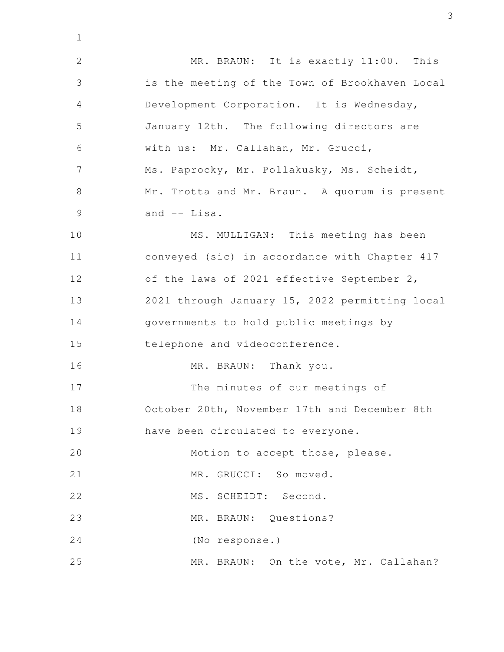MR. BRAUN: It is exactly 11:00. This is the meeting of the Town of Brookhaven Local Development Corporation. It is Wednesday, January 12th. The following directors are with us: Mr. Callahan, Mr. Grucci, Ms. Paprocky, Mr. Pollakusky, Ms. Scheidt, Mr. Trotta and Mr. Braun. A quorum is present and -- Lisa. MS. MULLIGAN: This meeting has been conveyed (sic) in accordance with Chapter 417 of the laws of 2021 effective September 2, 2021 through January 15, 2022 permitting local governments to hold public meetings by telephone and videoconference. MR. BRAUN: Thank you. The minutes of our meetings of October 20th, November 17th and December 8th have been circulated to everyone. Motion to accept those, please. MR. GRUCCI: So moved. MS. SCHEIDT: Second. MR. BRAUN: Questions? (No response.) MR. BRAUN: On the vote, Mr. Callahan? 2 3 4 5 6 7 8 9 10 11 12 13 14 15 16 17 18 19 20 21 22 23 24 25

1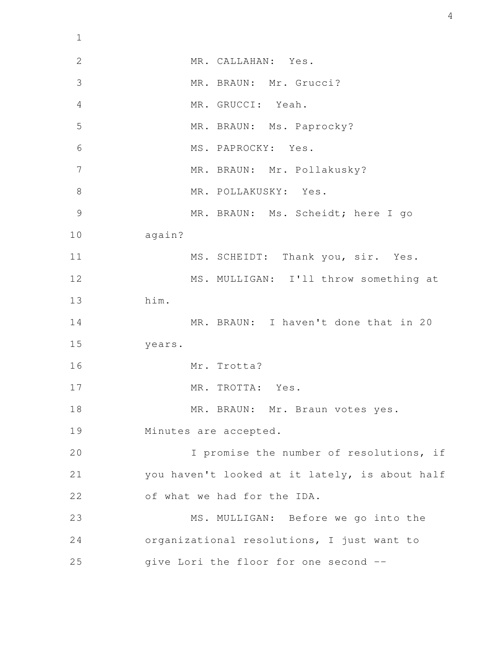MR. CALLAHAN: Yes. MR. BRAUN: Mr. Grucci? MR. GRUCCI: Yeah. MR. BRAUN: Ms. Paprocky? MS. PAPROCKY: Yes. MR. BRAUN: Mr. Pollakusky? MR. POLLAKUSKY: Yes. MR. BRAUN: Ms. Scheidt; here I go again? MS. SCHEIDT: Thank you, sir. Yes. MS. MULLIGAN: I'll throw something at him. MR. BRAUN: I haven't done that in 20 years. Mr. Trotta? MR. TROTTA: Yes. MR. BRAUN: Mr. Braun votes yes. Minutes are accepted. I promise the number of resolutions, if you haven't looked at it lately, is about half of what we had for the IDA. MS. MULLIGAN: Before we go into the organizational resolutions, I just want to give Lori the floor for one second -- 2 3 4 5 6 7 8 9 10 11 12 13 14 15 16 17 18 19 20 21 22 23 24 25

1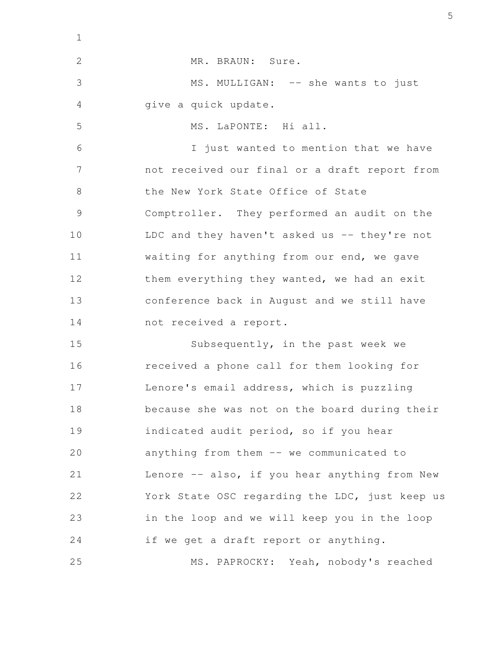| $\mathbf 1$   |                                                |
|---------------|------------------------------------------------|
| $\mathbf{2}$  | MR. BRAUN: Sure.                               |
| 3             | MS. MULLIGAN: -- she wants to just             |
| 4             | give a quick update.                           |
| 5             | MS. LaPONTE: Hi all.                           |
| 6             | I just wanted to mention that we have          |
| 7             | not received our final or a draft report from  |
| 8             | the New York State Office of State             |
| $\mathcal{G}$ | Comptroller. They performed an audit on the    |
| 10            | LDC and they haven't asked us -- they're not   |
| 11            | waiting for anything from our end, we gave     |
| 12            | them everything they wanted, we had an exit    |
| 13            | conference back in August and we still have    |
| 14            | not received a report.                         |
| 15            | Subsequently, in the past week we              |
| 16            | received a phone call for them looking for     |
| 17            | Lenore's email address, which is puzzling      |
| 18            | because she was not on the board during their  |
| 19            | indicated audit period, so if you hear         |
| 20            | anything from them -- we communicated to       |
| 21            | Lenore -- also, if you hear anything from New  |
| 22            | York State OSC regarding the LDC, just keep us |
| 23            | in the loop and we will keep you in the loop   |
| 24            | if we get a draft report or anything.          |
| 25            | MS. PAPROCKY: Yeah, nobody's reached           |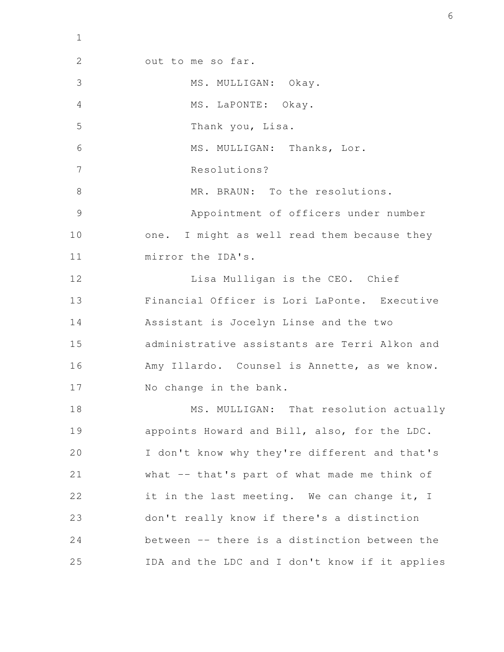out to me so far. MS. MULLIGAN: Okay. MS. LaPONTE: Okay. Thank you, Lisa. MS. MULLIGAN: Thanks, Lor. Resolutions? MR. BRAUN: To the resolutions. Appointment of officers under number one. I might as well read them because they mirror the IDA's. Lisa Mulligan is the CEO. Chief Financial Officer is Lori LaPonte. Executive Assistant is Jocelyn Linse and the two administrative assistants are Terri Alkon and Amy Illardo. Counsel is Annette, as we know. No change in the bank. MS. MULLIGAN: That resolution actually appoints Howard and Bill, also, for the LDC. I don't know why they're different and that's what -- that's part of what made me think of it in the last meeting. We can change it, I don't really know if there's a distinction between -- there is a distinction between the IDA and the LDC and I don't know if it applies 2 3 4 5 6 7 8 9 10 11 12 13 14 15 16 17 18 19 20 21 22 23 24 25

1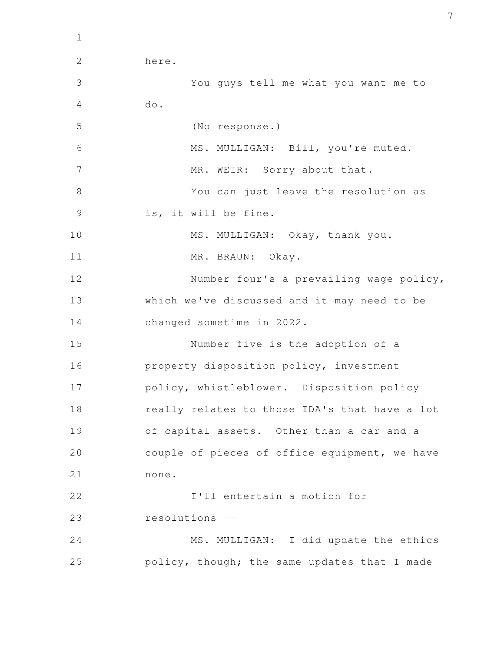here. You guys tell me what you want me to do. (No response.) MS. MULLIGAN: Bill, you're muted. MR. WEIR: Sorry about that. You can just leave the resolution as is, it will be fine. MS. MULLIGAN: Okay, thank you. MR. BRAUN: Okay. Number four's a prevailing wage policy, which we've discussed and it may need to be changed sometime in 2022. Number five is the adoption of a property disposition policy, investment policy, whistleblower. Disposition policy really relates to those IDA's that have a lot of capital assets. Other than a car and a couple of pieces of office equipment, we have none. I'll entertain a motion for resolutions -- MS. MULLIGAN: I did update the ethics policy, though; the same updates that I made 2 3 4 5 6 7 8 9 10 11 12 13 14 15 16 17 18 19 20 21 22 23 24 25

1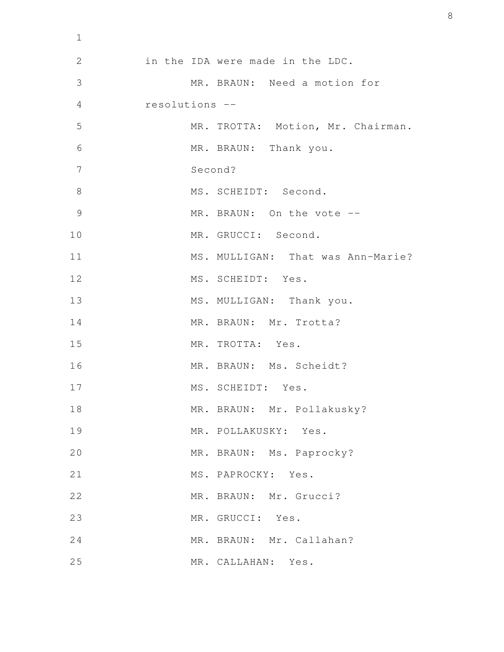| $\mathbf 1$    |                                   |
|----------------|-----------------------------------|
| $\mathbf{2}$   | in the IDA were made in the LDC.  |
| 3              | MR. BRAUN: Need a motion for      |
| $\overline{4}$ | resolutions --                    |
| 5              | MR. TROTTA: Motion, Mr. Chairman. |
| 6              | MR. BRAUN: Thank you.             |
| 7              | Second?                           |
| $8\,$          | MS. SCHEIDT: Second.              |
| 9              | MR. BRAUN: On the vote --         |
| 10             | MR. GRUCCI: Second.               |
| 11             | MS. MULLIGAN: That was Ann-Marie? |
| 12             | MS. SCHEIDT: Yes.                 |
| 13             | MS. MULLIGAN: Thank you.          |
| 14             | MR. BRAUN: Mr. Trotta?            |
| 15             | MR. TROTTA: Yes.                  |
| 16             | MR. BRAUN: Ms. Scheidt?           |
| 17             | MS. SCHEIDT: Yes.                 |
| 18             | MR. BRAUN: Mr. Pollakusky?        |
| 19             | MR. POLLAKUSKY: Yes.              |
| 20             | MR. BRAUN: Ms. Paprocky?          |
| 21             | MS. PAPROCKY: Yes.                |
| 22             | MR. BRAUN: Mr. Grucci?            |
| 23             | MR. GRUCCI: Yes.                  |
| 24             | MR. BRAUN: Mr. Callahan?          |
| 25             | MR. CALLAHAN: Yes.                |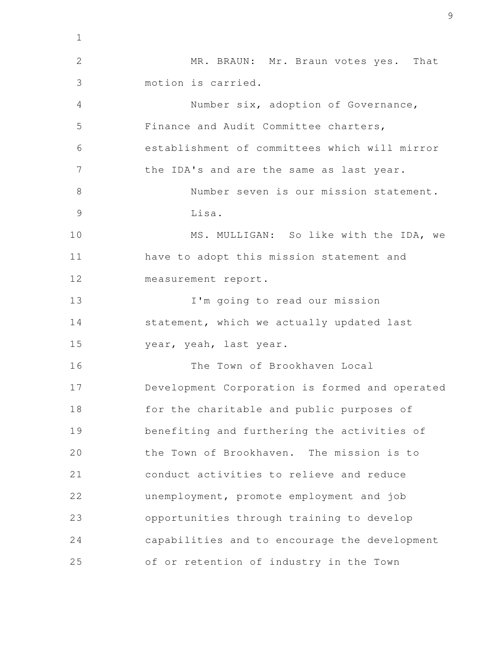MR. BRAUN: Mr. Braun votes yes. That motion is carried. Number six, adoption of Governance, Finance and Audit Committee charters, establishment of committees which will mirror the IDA's and are the same as last year. Number seven is our mission statement. Lisa. MS. MULLIGAN: So like with the IDA, we have to adopt this mission statement and measurement report. I'm going to read our mission statement, which we actually updated last year, yeah, last year. The Town of Brookhaven Local Development Corporation is formed and operated for the charitable and public purposes of benefiting and furthering the activities of the Town of Brookhaven. The mission is to conduct activities to relieve and reduce unemployment, promote employment and job opportunities through training to develop capabilities and to encourage the development of or retention of industry in the Town 1 2 3 4 5 6 7 8 9 10 11 12 13 14 15 16 17 18 19 20 21 22 23 24 25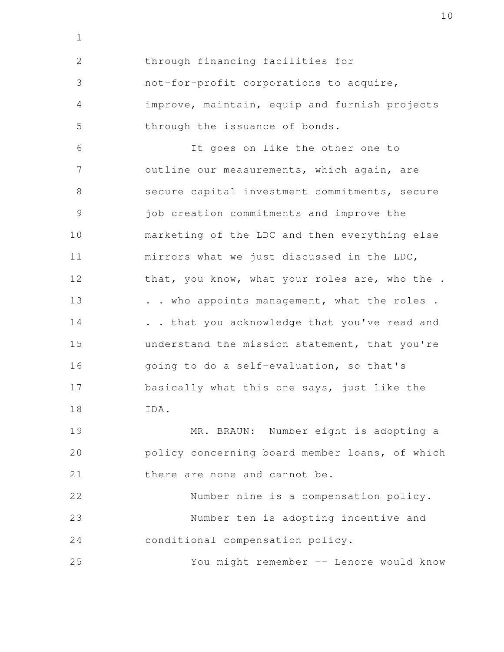through financing facilities for not-for-profit corporations to acquire, improve, maintain, equip and furnish projects through the issuance of bonds. It goes on like the other one to outline our measurements, which again, are secure capital investment commitments, secure job creation commitments and improve the marketing of the LDC and then everything else mirrors what we just discussed in the LDC, that, you know, what your roles are, who the . . . who appoints management, what the roles . . . that you acknowledge that you've read and understand the mission statement, that you're going to do a self-evaluation, so that's basically what this one says, just like the IDA. MR. BRAUN: Number eight is adopting a policy concerning board member loans, of which there are none and cannot be. Number nine is a compensation policy. Number ten is adopting incentive and conditional compensation policy. You might remember -- Lenore would know 2 3 4 5 6 7 8 9 10 11 12 13 14 15 16 17 18 19 20 21 22 23 24 25

1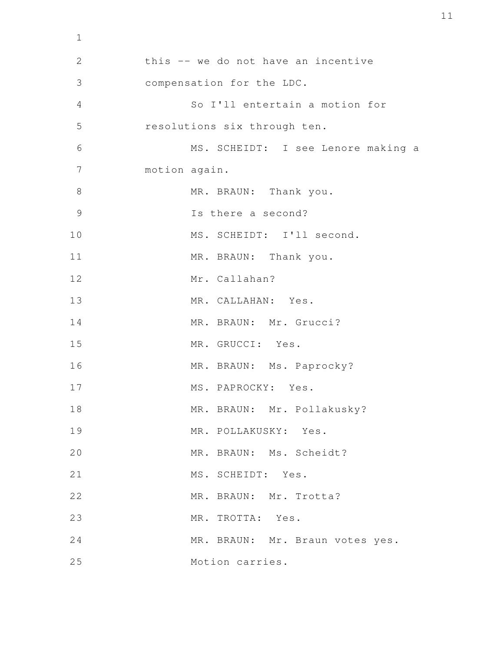```
this -- we do not have an incentive
           compensation for the LDC.
                   So I'll entertain a motion for
           resolutions six through ten. 
                   MS. SCHEIDT: I see Lenore making a
           motion again.
                   MR. BRAUN: Thank you.
                   Is there a second?
                   MS. SCHEIDT: I'll second.
                  MR. BRAUN: Thank you.
                  Mr. Callahan?
                  MR. CALLAHAN: Yes.
                  MR. BRAUN: Mr. Grucci?
                   MR. GRUCCI: Yes.
                   MR. BRAUN: Ms. Paprocky?
                  MS. PAPROCKY: Yes.
                   MR. BRAUN: Mr. Pollakusky?
                   MR. POLLAKUSKY: Yes.
                   MR. BRAUN: Ms. Scheidt?
                  MS. SCHEIDT: Yes.
                   MR. BRAUN: Mr. Trotta?
                   MR. TROTTA: Yes.
                  MR. BRAUN: Mr. Braun votes yes.
                  Motion carries.
  2
  3
  4
  5
  6
  7
  8
  9
10
11
12
13
14
15
16
17
18
19
20
21
22
23
24
25
```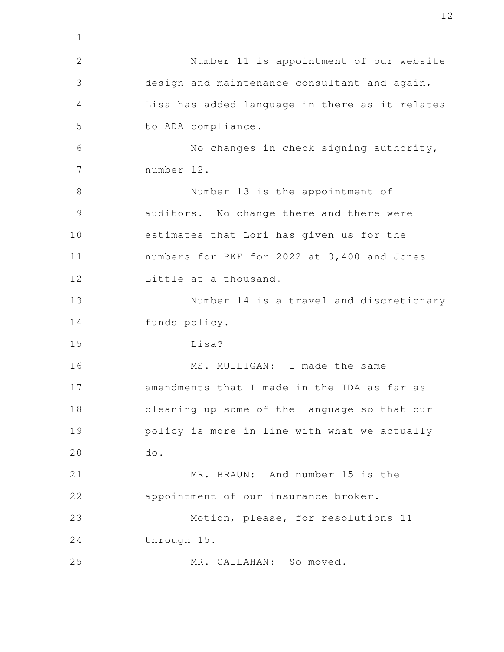Number 11 is appointment of our website design and maintenance consultant and again, Lisa has added language in there as it relates to ADA compliance. No changes in check signing authority, number 12. Number 13 is the appointment of auditors. No change there and there were estimates that Lori has given us for the numbers for PKF for 2022 at 3,400 and Jones Little at a thousand. Number 14 is a travel and discretionary funds policy. Lisa? MS. MULLIGAN: I made the same amendments that I made in the IDA as far as cleaning up some of the language so that our policy is more in line with what we actually do. MR. BRAUN: And number 15 is the appointment of our insurance broker. Motion, please, for resolutions 11 through 15. MR. CALLAHAN: So moved. 1 2 3 4 5 6 7 8 9 10 11 12 13 14 15 16 17 18 19 20 21 22 23 24 25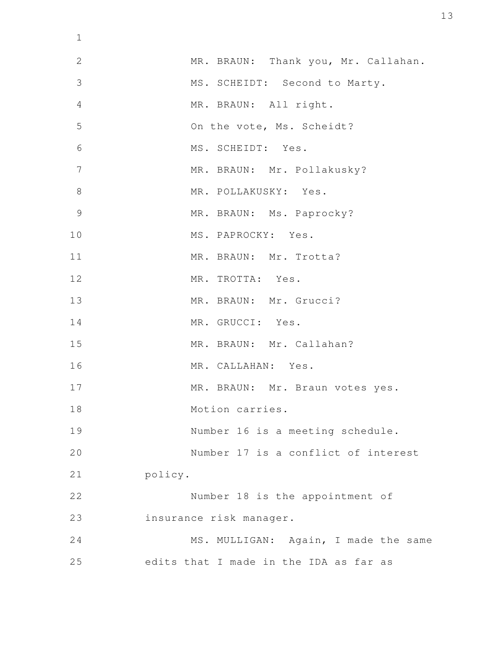| $\mathbf 1$    |                                        |
|----------------|----------------------------------------|
| $\overline{2}$ | MR. BRAUN: Thank you, Mr. Callahan.    |
| 3              | MS. SCHEIDT: Second to Marty.          |
| 4              | MR. BRAUN: All right.                  |
| 5              | On the vote, Ms. Scheidt?              |
| 6              | MS. SCHEIDT: Yes.                      |
| 7              | MR. BRAUN: Mr. Pollakusky?             |
| 8              | MR. POLLAKUSKY: Yes.                   |
| 9              | MR. BRAUN: Ms. Paprocky?               |
| 10             | MS. PAPROCKY: Yes.                     |
| 11             | MR. BRAUN: Mr. Trotta?                 |
| 12             | MR. TROTTA: Yes.                       |
| 13             | MR. BRAUN: Mr. Grucci?                 |
| 14             | MR. GRUCCI: Yes.                       |
| 15             | MR. BRAUN: Mr. Callahan?               |
| 16             | MR. CALLAHAN: Yes.                     |
| 17             | MR. BRAUN: Mr. Braun votes yes.        |
| 18             | Motion carries.                        |
| 19             | Number 16 is a meeting schedule.       |
| 20             | Number 17 is a conflict of interest    |
| 21             | policy.                                |
| 22             | Number 18 is the appointment of        |
| 23             | insurance risk manager.                |
| 24             | MS. MULLIGAN: Again, I made the same   |
| 25             | edits that I made in the IDA as far as |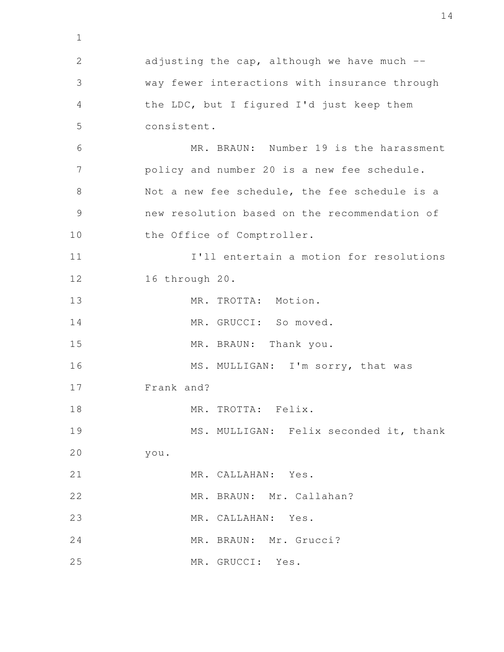adjusting the cap, although we have much  $$ way fewer interactions with insurance through the LDC, but I figured I'd just keep them consistent. MR. BRAUN: Number 19 is the harassment policy and number 20 is a new fee schedule. Not a new fee schedule, the fee schedule is a new resolution based on the recommendation of the Office of Comptroller. I'll entertain a motion for resolutions 16 through 20. MR. TROTTA: Motion. MR. GRUCCI: So moved. MR. BRAUN: Thank you. MS. MULLIGAN: I'm sorry, that was Frank and? MR. TROTTA: Felix. MS. MULLIGAN: Felix seconded it, thank you. MR. CALLAHAN: Yes. MR. BRAUN: Mr. Callahan? MR. CALLAHAN: Yes. MR. BRAUN: Mr. Grucci? MR. GRUCCI: Yes. 1 2 3 4 5 6 7 8 9 10 11 12 13 14 15 16 17 18 19 20 21 22 23 24 25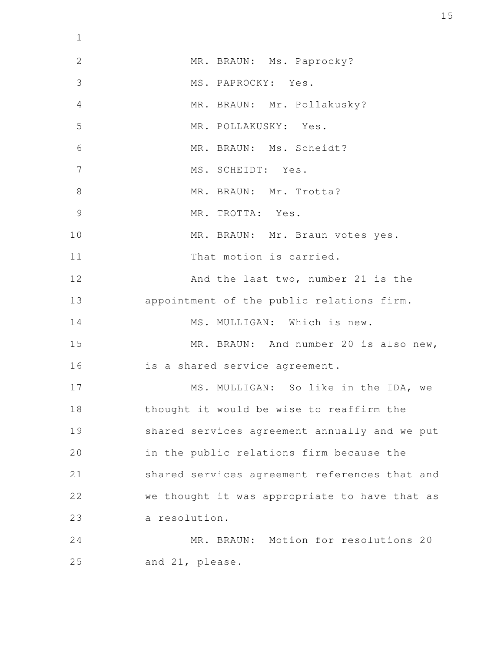| $\mathbf 1$    |                                               |
|----------------|-----------------------------------------------|
| $\mathbf{2}$   | MR. BRAUN: Ms. Paprocky?                      |
| 3              | MS. PAPROCKY: Yes.                            |
| 4              | MR. BRAUN: Mr. Pollakusky?                    |
| 5              | MR. POLLAKUSKY: Yes.                          |
| 6              | MR. BRAUN: Ms. Scheidt?                       |
| 7              | MS. SCHEIDT: Yes.                             |
| 8              | MR. BRAUN: Mr. Trotta?                        |
| $\overline{9}$ | MR. TROTTA: Yes.                              |
| 10             | MR. BRAUN: Mr. Braun votes yes.               |
| 11             | That motion is carried.                       |
| 12             | And the last two, number 21 is the            |
| 13             | appointment of the public relations firm.     |
| 14             | MS. MULLIGAN: Which is new.                   |
| 15             | MR. BRAUN: And number 20 is also new,         |
| 16             | is a shared service agreement.                |
| 17             | MS. MULLIGAN: So like in the IDA, we          |
| 18             | thought it would be wise to reaffirm the      |
| 19             | shared services agreement annually and we put |
| 20             | in the public relations firm because the      |
| 21             | shared services agreement references that and |
| 22             | we thought it was appropriate to have that as |
| 23             | a resolution.                                 |
| 24             | MR. BRAUN: Motion for resolutions 20          |
| 25             | and 21, please.                               |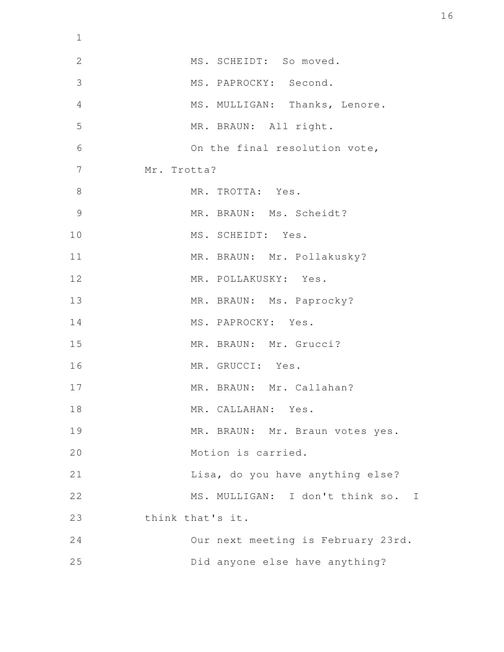| $\mathbf 1$    |                                    |
|----------------|------------------------------------|
| $\mathbf{2}$   | MS. SCHEIDT: So moved.             |
| 3              | MS. PAPROCKY: Second.              |
| $\overline{4}$ | MS. MULLIGAN: Thanks, Lenore.      |
| 5              | MR. BRAUN: All right.              |
| 6              | On the final resolution vote,      |
| $\overline{7}$ | Mr. Trotta?                        |
| $\,8\,$        | MR. TROTTA: Yes.                   |
| 9              | MR. BRAUN: Ms. Scheidt?            |
| 10             | MS. SCHEIDT: Yes.                  |
| 11             | MR. BRAUN: Mr. Pollakusky?         |
| 12             | MR. POLLAKUSKY: Yes.               |
| 13             | MR. BRAUN: Ms. Paprocky?           |
| 14             | MS. PAPROCKY: Yes.                 |
| 15             | MR. BRAUN: Mr. Grucci?             |
| 16             | MR. GRUCCI: Yes.                   |
| 17             | MR. BRAUN: Mr. Callahan?           |
| 18             | MR. CALLAHAN: Yes.                 |
| 19             | MR. BRAUN: Mr. Braun votes yes.    |
| 20             | Motion is carried.                 |
| 21             | Lisa, do you have anything else?   |
| 22             | MS. MULLIGAN: I don't think so. I  |
| 23             | think that's it.                   |
| 24             | Our next meeting is February 23rd. |
| 25             | Did anyone else have anything?     |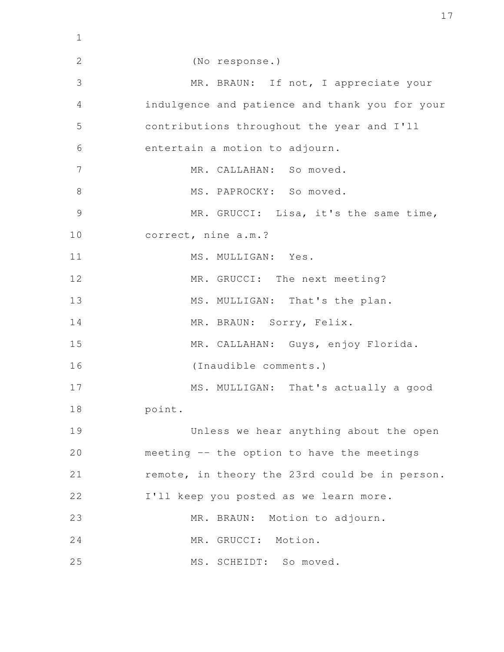| $\mathbf{1}$   |                                                |
|----------------|------------------------------------------------|
| $\mathbf{2}$   | (No response.)                                 |
| 3              | MR. BRAUN: If not, I appreciate your           |
| $\overline{4}$ | indulgence and patience and thank you for your |
| 5              | contributions throughout the year and I'll     |
| 6              | entertain a motion to adjourn.                 |
| 7              | MR. CALLAHAN: So moved.                        |
| $8\,$          | MS. PAPROCKY: So moved.                        |
| $\overline{9}$ | MR. GRUCCI: Lisa, it's the same time,          |
| 10             | correct, nine a.m.?                            |
| 11             | MS. MULLIGAN: Yes.                             |
| 12             | MR. GRUCCI: The next meeting?                  |
| 13             | MS. MULLIGAN: That's the plan.                 |
| 14             | MR. BRAUN: Sorry, Felix.                       |
| 15             | MR. CALLAHAN: Guys, enjoy Florida.             |
| 16             | (Inaudible comments.)                          |
| 17             | MS. MULLIGAN: That's actually a good           |
| 18             | point.                                         |
| 19             | Unless we hear anything about the open         |
| 20             | meeting -- the option to have the meetings     |
| 21             | remote, in theory the 23rd could be in person. |
| 22             | I'll keep you posted as we learn more.         |
| 23             | MR. BRAUN: Motion to adjourn.                  |
| 24             | MR. GRUCCI: Motion.                            |
| 25             | MS. SCHEIDT: So moved.                         |